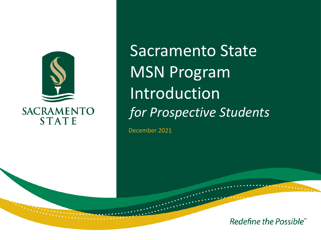

Sacramento State MSN Program **Introduction** *for Prospective Students*

December 2021

Redefine the Possible<sup>™</sup>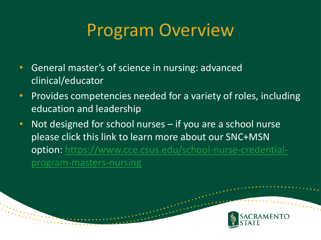## Program Overview

- General master's of science in nursing: advanced clinical/educator
- Provides competencies needed for a variety of roles, including education and leadership
- Not designed for school nurses if you are a school nurse please click this link to learn more about our SNC+MSN [option: https://www.cce.csus.edu/school-nurse-credential](https://www.cce.csus.edu/school-nurse-credential-program-masters-nursing)program-masters-nursing

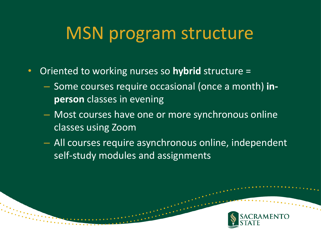## MSN program structure

- Oriented to working nurses so **hybrid** structure =
	- Some courses require occasional (once a month) **inperson** classes in evening
	- Most courses have one or more synchronous online classes using Zoom
	- All courses require asynchronous online, independent self-study modules and assignments

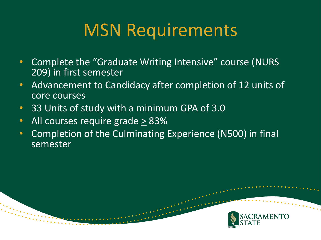# MSN Requirements

- Complete the "Graduate Writing Intensive" course (NURS 209) in first semester
- Advancement to Candidacy after completion of 12 units of core courses
- 33 Units of study with a minimum GPA of 3.0
- All courses require grade > 83%
- Completion of the Culminating Experience (N500) in final semester

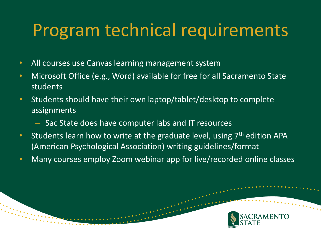## Program technical requirements

- All courses use Canvas learning management system
- Microsoft Office (e.g., Word) available for free for all Sacramento State students
- Students should have their own laptop/tablet/desktop to complete assignments
	- Sac State does have computer labs and IT resources
- Students learn how to write at the graduate level, using  $7<sup>th</sup>$  edition APA (American Psychological Association) writing guidelines/format
- Many courses employ Zoom webinar app for live/recorded online classes

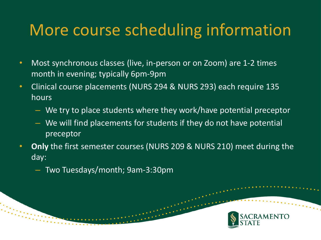#### More course scheduling information

- Most synchronous classes (live, in-person or on Zoom) are 1-2 times month in evening; typically 6pm-9pm
- Clinical course placements (NURS 294 & NURS 293) each require 135 hours
	- We try to place students where they work/have potential preceptor
	- We will find placements for students if they do not have potential preceptor
- **Only** the first semester courses (NURS 209 & NURS 210) meet during the day:
	- Two Tuesdays/month; 9am-3:30pm

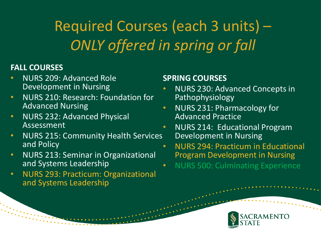#### Required Courses (each 3 units) – *ONLY offered in spring or fall*

#### **FALL COURSES**

- NURS 209: Advanced Role Development in Nursing
- NURS 210: Research: Foundation for Advanced Nursing
- NURS 232: Advanced Physical Assessment
- NURS 215: Community Health Services and Policy
- NURS 213: Seminar in Organizational and Systems Leadership
- NURS 293: Practicum: Organizational and Systems Leadership

#### **SPRING COURSES**

- NURS 230: Advanced Concepts in Pathophysiology
- NURS 231: Pharmacology for Advanced Practice
- NURS 214: Educational Program Development in Nursing
- NURS 294: Practicum in Educational Program Development in Nursing
- NURS 500: Culminating Experience

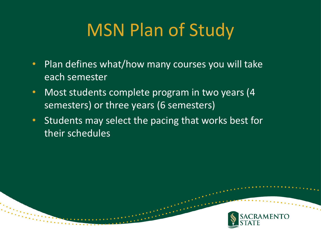# MSN Plan of Study

- Plan defines what/how many courses you will take each semester
- Most students complete program in two years (4 semesters) or three years (6 semesters)
- Students may select the pacing that works best for their schedules

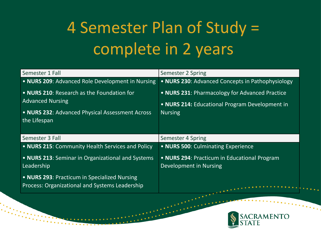# 4 Semester Plan of Study = complete in 2 years

| Semester 1 Fall                                                                                                                          | Semester 2 Spring                                                                                                  |
|------------------------------------------------------------------------------------------------------------------------------------------|--------------------------------------------------------------------------------------------------------------------|
| • NURS 209: Advanced Role Development in Nursing                                                                                         | • NURS 230: Advanced Concepts in Pathophysiology                                                                   |
| • NURS 210: Research as the Foundation for<br><b>Advanced Nursing</b><br>• NURS 232: Advanced Physical Assessment Across<br>the Lifespan | • NURS 231: Pharmacology for Advanced Practice<br>• NURS 214: Educational Program Development in<br><b>Nursing</b> |
| Semester 3 Fall                                                                                                                          | Semester 4 Spring                                                                                                  |
| . NURS 215: Community Health Services and Policy                                                                                         | • NURS 500: Culminating Experience                                                                                 |
| • NURS 213: Seminar in Organizational and Systems<br>Leadership                                                                          | • NURS 294: Practicum in Educational Program<br>Development in Nursing                                             |
| • NURS 293: Practicum in Specialized Nursing<br>Process: Organizational and Systems Leadership                                           | .                                                                                                                  |

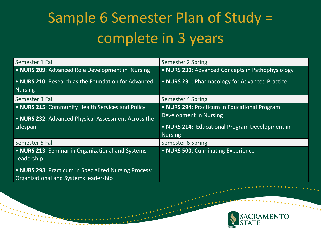### Sample 6 Semester Plan of Study = complete in 3 years

| Semester 1 Fall                                                       | Semester 2 Spring                                |
|-----------------------------------------------------------------------|--------------------------------------------------|
| • NURS 209: Advanced Role Development in Nursing                      | • NURS 230: Advanced Concepts in Pathophysiology |
| • NURS 210: Research as the Foundation for Advanced<br><b>Nursing</b> | • NURS 231: Pharmacology for Advanced Practice   |
| Semester 3 Fall                                                       | Semester 4 Spring                                |
| . NURS 215: Community Health Services and Policy                      | • NURS 294: Practicum in Educational Program     |
| . NURS 232: Advanced Physical Assessment Across the                   | Development in Nursing                           |
| Lifespan                                                              | • NURS 214: Educational Program Development in   |
|                                                                       | <b>Nursing</b>                                   |
| Semester 5 Fall                                                       | Semester 6 Spring                                |
| • NURS 213: Seminar in Organizational and Systems<br>Leadership       | • NURS 500: Culminating Experience               |
| • NURS 293: Practicum in Specialized Nursing Process:                 |                                                  |

Organizational and Systems leadership

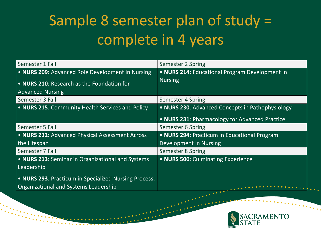#### Sample 8 semester plan of study = complete in 4 years

| Semester 1 Fall                                                                                | Semester 2 Spring                                |
|------------------------------------------------------------------------------------------------|--------------------------------------------------|
| • NURS 209: Advanced Role Development in Nursing                                               | . NURS 214: Educational Program Development in   |
| • NURS 210: Research as the Foundation for                                                     | <b>Nursing</b>                                   |
| <b>Advanced Nursing</b>                                                                        |                                                  |
| Semester 3 Fall                                                                                | Semester 4 Spring                                |
| . NURS 215: Community Health Services and Policy                                               | . NURS 230: Advanced Concepts in Pathophysiology |
|                                                                                                | • NURS 231: Pharmacology for Advanced Practice   |
| Semester 5 Fall                                                                                | Semester 6 Spring                                |
| . NURS 232: Advanced Physical Assessment Across                                                | • NURS 294: Practicum in Educational Program     |
| the Lifespan                                                                                   | Development in Nursing                           |
| Semester 7 Fall                                                                                | Semester 8 Spring                                |
| • NURS 213: Seminar in Organizational and Systems<br>Leadership                                | • NURS 500: Culminating Experience               |
| • NURS 293: Practicum in Specialized Nursing Process:<br>Organizational and Systems Leadership | <u>experience</u>                                |

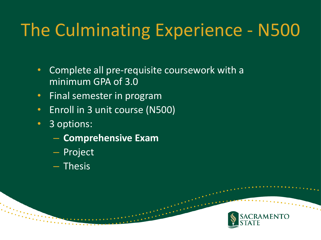# The Culminating Experience - N500

- Complete all pre-requisite coursework with a minimum GPA of 3.0
- Final semester in program
- Enroll in 3 unit course (N500)
- 3 options:
	- **Comprehensive Exam**
	- Project
	- Thesis

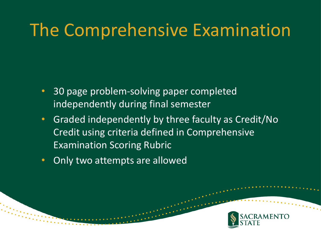## The Comprehensive Examination

- 30 page problem-solving paper completed independently during final semester
- Graded independently by three faculty as Credit/No Credit using criteria defined in Comprehensive Examination Scoring Rubric
- Only two attempts are allowed

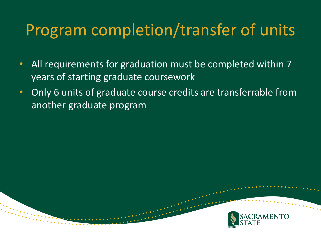#### Program completion/transfer of units

- All requirements for graduation must be completed within 7 years of starting graduate coursework
- Only 6 units of graduate course credits are transferrable from another graduate program

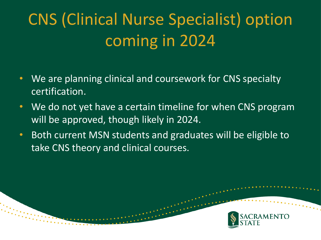# CNS (Clinical Nurse Specialist) option coming in 2024

- We are planning clinical and coursework for CNS specialty certification.
- We do not yet have a certain timeline for when CNS program will be approved, though likely in 2024.
- Both current MSN students and graduates will be eligible to take CNS theory and clinical courses.

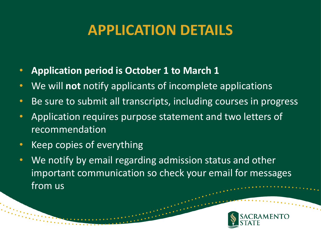#### **APPLICATION DETAILS**

- **Application period is October 1 to March 1**
- We will **not** notify applicants of incomplete applications
- Be sure to submit all transcripts, including courses in progress
- Application requires purpose statement and two letters of recommendation
- Keep copies of everything
- We notify by email regarding admission status and other important communication so check your email for messages from us

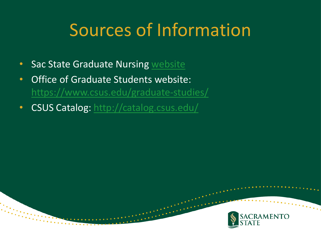# Sources of Information

- Sac State Graduate Nursing website
- Office of Graduate Students website: <https://www.csus.edu/graduate-studies/>
- CSUS Catalog:<http://catalog.csus.edu/>

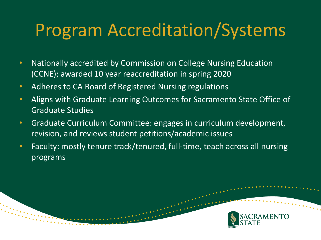# Program Accreditation/Systems

- Nationally accredited by Commission on College Nursing Education (CCNE); awarded 10 year reaccreditation in spring 2020
- Adheres to CA Board of Registered Nursing regulations
- Aligns with Graduate Learning Outcomes for Sacramento State Office of Graduate Studies
- Graduate Curriculum Committee: engages in curriculum development, revision, and reviews student petitions/academic issues
- Faculty: mostly tenure track/tenured, full-time, teach across all nursing programs

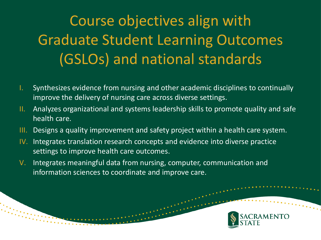### Course objectives align with Graduate Student Learning Outcomes (GSLOs) and national standards

- I. Synthesizes evidence from nursing and other academic disciplines to continually improve the delivery of nursing care across diverse settings.
- II. Analyzes organizational and systems leadership skills to promote quality and safe health care.
- III. Designs a quality improvement and safety project within a health care system.
- IV. Integrates translation research concepts and evidence into diverse practice settings to improve health care outcomes.
- V. Integrates meaningful data from nursing, computer, communication and information sciences to coordinate and improve care.

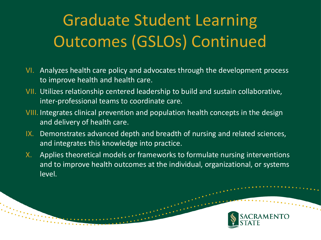# Graduate Student Learning Outcomes (GSLOs) Continued

- VI. Analyzes health care policy and advocates through the development process to improve health and health care.
- VII. Utilizes relationship centered leadership to build and sustain collaborative, inter-professional teams to coordinate care.
- VIII. Integrates clinical prevention and population health concepts in the design and delivery of health care.
- IX. Demonstrates advanced depth and breadth of nursing and related sciences, and integrates this knowledge into practice.
- X. Applies theoretical models or frameworks to formulate nursing interventions and to improve health outcomes at the individual, organizational, or systems level.